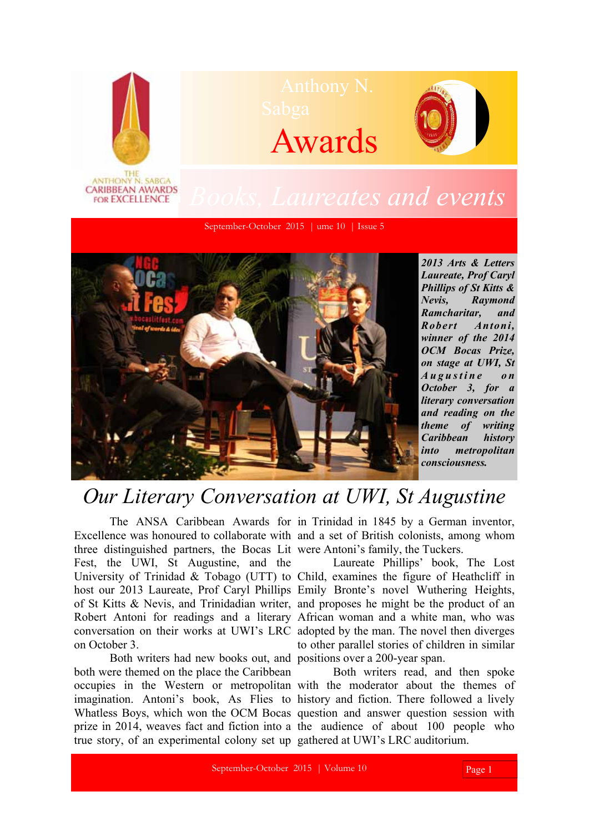

*winner of the 2014 OCM Bocas Prize, on stage at UWI, St A u g u s t i n e o n October 3, for a literary conversation and reading on the theme of writing Caribbean history into metropolitan consciousness.* 

## *Our Literary Conversation at UWI, St Augustine*

three distinguished partners, the Bocas Lit were Antoni's family, the Tuckers. Fest, the UWI, St Augustine, and the on October 3.

 Both writers had new books out, and positions over a 200-year span. both were themed on the place the Caribbean true story, of an experimental colony set up gathered at UWI's LRC auditorium.

 The ANSA Caribbean Awards for in Trinidad in 1845 by a German inventor, Excellence was honoured to collaborate with and a set of British colonists, among whom

University of Trinidad & Tobago (UTT) to Child, examines the figure of Heathcliff in host our 2013 Laureate, Prof Caryl Phillips Emily Bronte's novel Wuthering Heights, of St Kitts & Nevis, and Trinidadian writer, and proposes he might be the product of an Robert Antoni for readings and a literary African woman and a white man, who was conversation on their works at UWI's LRC adopted by the man. The novel then diverges Laureate Phillips' book, The Lost to other parallel stories of children in similar

occupies in the Western or metropolitan with the moderator about the themes of imagination. Antoni's book, As Flies to history and fiction. There followed a lively Whatless Boys, which won the OCM Bocas question and answer question session with prize in 2014, weaves fact and fiction into a the audience of about 100 people who Both writers read, and then spoke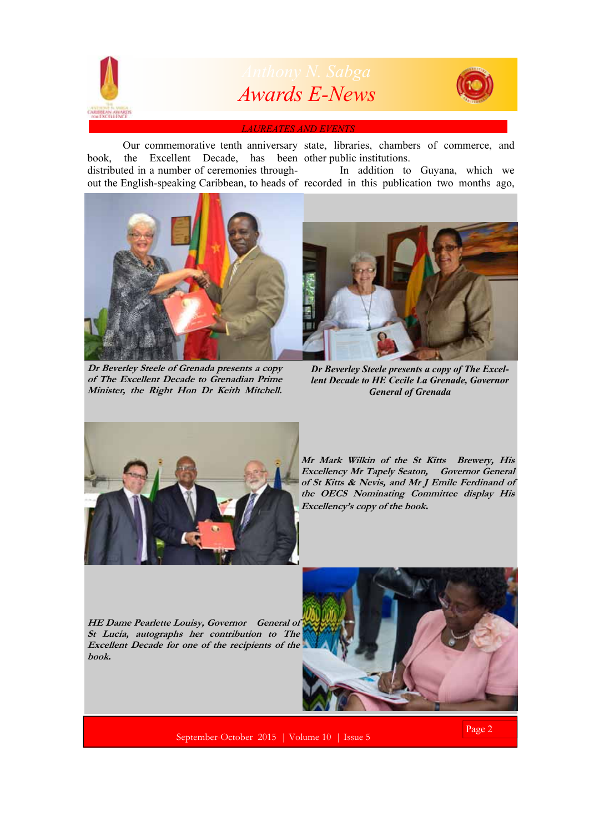

 Our commemorative tenth anniversary state, libraries, chambers of commerce, and book, the Excellent Decade, has been other public institutions. distributed in a number of ceremonies throughout the English-speaking Caribbean, to heads of recorded in this publication two months ago, In addition to Guyana, which we



**Dr Beverley Steele of Grenada presents a copy of The Excellent Decade to Grenadian Prime Minister, the Right Hon Dr Keith Mitchell.**

*Dr Beverley Steele presents a copy of The Excellent Decade to HE Cecile La Grenade, Governor General of Grenada* 



**Mr Mark Wilkin of the St Kitts Brewery, His Excellency Mr Tapely Seaton, Governor General of St Kitts & Nevis, and Mr J Emile Ferdinand of the OECS Nominating Committee display His Excellency's copy of the book.** 

**HE Dame Pearlette Louisy, Governor General of St Lucia, autographs her contribution to The Excellent Decade for one of the recipients of the book.** 



September-October 2015 | Volume 10 | Issue 5

Page 2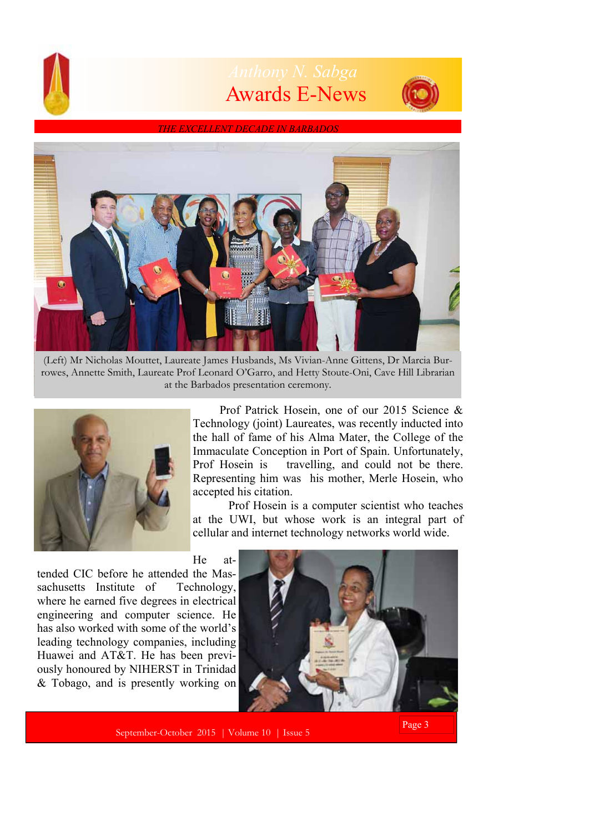

## Awards E-News



*THE EXCELLENT DECADE IN BARBADOS* 



(Left) Mr Nicholas Mouttet, Laureate James Husbands, Ms Vivian-Anne Gittens, Dr Marcia Burrowes, Annette Smith, Laureate Prof Leonard O'Garro, and Hetty Stoute-Oni, Cave Hill Librarian at the Barbados presentation ceremony.



 Prof Patrick Hosein, one of our 2015 Science & Technology (joint) Laureates, was recently inducted into the hall of fame of his Alma Mater, the College of the Immaculate Conception in Port of Spain. Unfortunately, Prof Hosein is travelling, and could not be there. Representing him was his mother, Merle Hosein, who accepted his citation.

 Prof Hosein is a computer scientist who teaches at the UWI, but whose work is an integral part of cellular and internet technology networks world wide.

He at-

tended CIC before he attended the Massachusetts Institute of Technology, where he earned five degrees in electrical engineering and computer science. He has also worked with some of the world's leading technology companies, including Huawei and AT&T. He has been previously honoured by NIHERST in Trinidad & Tobago, and is presently working on



September-October 2015 | Volume 10 | Issue 5

Page 3